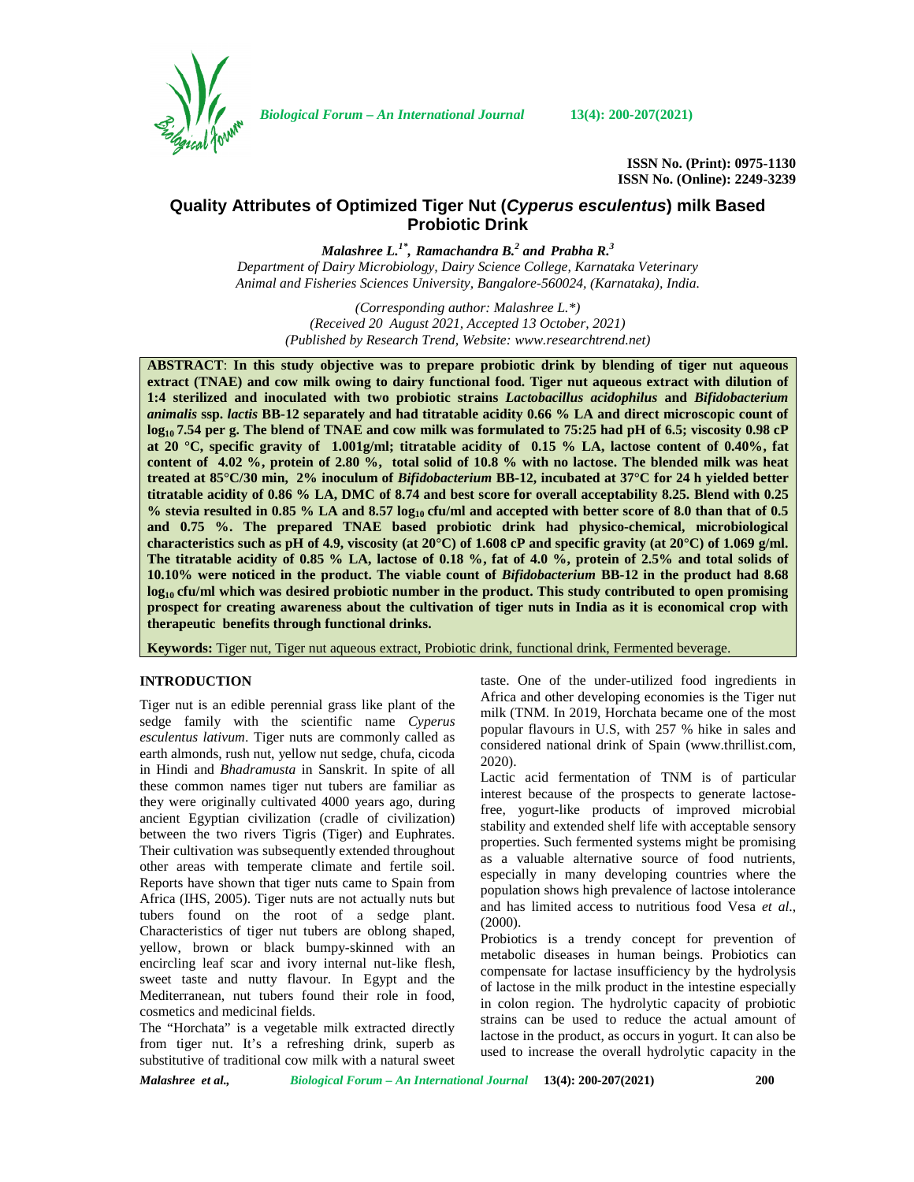

*Biological Forum – An International Journal* **13(4): 200-207(2021)**

**ISSN No. (Print): 0975-1130 ISSN No. (Online): 2249-3239**

# **Quality Attributes of Optimized Tiger Nut (***Cyperus esculentus***) milk Based Probiotic Drink**

*Malashree L.1\* , Ramachandra B.<sup>2</sup> and Prabha R.<sup>3</sup> Department of Dairy Microbiology, Dairy Science College, Karnataka Veterinary Animal and Fisheries Sciences University, Bangalore-560024, (Karnataka), India.*

> *(Corresponding author: Malashree L.\*) (Received 20 August 2021, Accepted 13 October, 2021) (Published by Research Trend, Website: [www.researchtrend.net\)](www.researchtrend.net)*

**ABSTRACT**: **In this study objective was to prepare probiotic drink by blending of tiger nut aqueous extract (TNAE) and cow milk owing to dairy functional food. Tiger nut aqueous extract with dilution of 1:4 sterilized and inoculated with two probiotic strains** *Lactobacillus acidophilus* **and** *Bifidobacterium animalis* **ssp.** *lactis* **BB-12 separately and had titratable acidity 0.66 % LA and direct microscopic count of log<sup>10</sup> 7.54 per g. The blend of TNAE and cow milk was formulated to 75:25 had pH of 6.5; viscosity 0.98 cP at 20 °C, specific gravity of 1.001g/ml; titratable acidity of 0.15 % LA, lactose content of 0.40%, fat content of 4.02 %, protein of 2.80 %, total solid of 10.8 % with no lactose. The blended milk was heat treated at 85°C/30 min, 2% inoculum of** *Bifidobacterium* **BB-12, incubated at 37°C for 24 h yielded better titratable acidity of 0.86 % LA, DMC of 8.74 and best score for overall acceptability 8.25. Blend with 0.25 % stevia resulted in 0.85 % LA and 8.57 log<sup>10</sup> cfu/ml and accepted with better score of 8.0 than that of 0.5 and 0.75 %. The prepared TNAE based probiotic drink had physico-chemical, microbiological characteristics such as pH of 4.9, viscosity (at 20°C) of 1.608 cP and specific gravity (at 20°C) of 1.069 g/ml. The titratable acidity of 0.85 % LA, lactose of 0.18 %, fat of 4.0 %, protein of 2.5% and total solids of 10.10% were noticed in the product. The viable count of** *Bifidobacterium* **BB-12 in the product had 8.68 log<sup>10</sup> cfu/ml which was desired probiotic number in the product. This study contributed to open promising prospect for creating awareness about the cultivation of tiger nuts in India as it is economical crop with therapeutic benefits through functional drinks.**

**Keywords:** Tiger nut, Tiger nut aqueous extract, Probiotic drink, functional drink, Fermented beverage.

## **INTRODUCTION**

Tiger nut is an edible perennial grass like plant of the sedge family with the scientific name *Cyperus esculentus lativum*. Tiger nuts are commonly called as earth almonds, rush nut, yellow nut sedge, chufa, cicoda in Hindi and *Bhadramusta* in Sanskrit. In spite of all these common names tiger nut tubers are familiar as they were originally cultivated 4000 years ago, during ancient Egyptian civilization (cradle of civilization) between the two rivers Tigris (Tiger) and Euphrates. Their cultivation was subsequently extended throughout other areas with temperate climate and fertile soil. Reports have shown that tiger nuts came to Spain from Africa (IHS, 2005). Tiger nuts are not actually nuts but tubers found on the root of a sedge plant. Characteristics of tiger nut tubers are oblong shaped, yellow, brown or black bumpy-skinned with an encircling leaf scar and ivory internal nut-like flesh, sweet taste and nutty flavour. In Egypt and the Mediterranean, nut tubers found their role in food, cosmetics and medicinal fields.

The "Horchata" is a vegetable milk extracted directly from tiger nut. It's a refreshing drink, superb as substitutive of traditional cow milk with a natural sweet taste. One of the under-utilized food ingredients in Africa and other developing economies is the Tiger nut milk (TNM. In 2019, Horchata became one of the most popular flavours in U.S, with 257 % hike in sales and considered national drink of Spain (<www.thrillist.com>, 2020).

Lactic acid fermentation of TNM is of particular interest because of the prospects to generate lactosefree, yogurt-like products of improved microbial stability and extended shelf life with acceptable sensory properties. Such fermented systems might be promising as a valuable alternative source of food nutrients, especially in many developing countries where the population shows high prevalence of lactose intolerance and has limited access to nutritious food Vesa *et al*., (2000).

Probiotics is a trendy concept for prevention of metabolic diseases in human beings. Probiotics can compensate for lactase insufficiency by the hydrolysis of lactose in the milk product in the intestine especially in colon region. The hydrolytic capacity of probiotic strains can be used to reduce the actual amount of lactose in the product, as occurs in yogurt. It can also be used to increase the overall hydrolytic capacity in the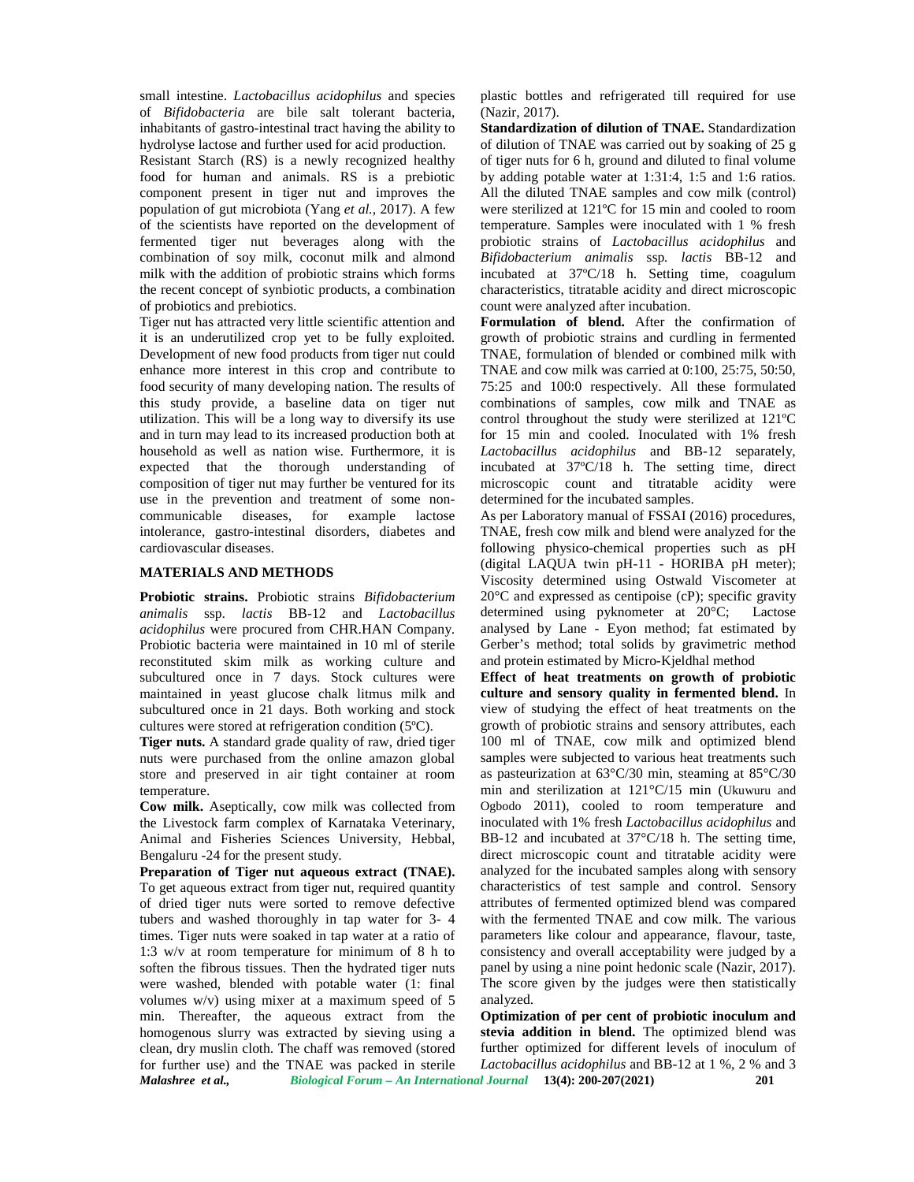small intestine. *Lactobacillus acidophilus* and species of *Bifidobacteria* are bile salt tolerant bacteria, inhabitants of gastro-intestinal tract having the ability to hydrolyse lactose and further used for acid production. Resistant Starch (RS) is a newly recognized healthy food for human and animals. RS is a prebiotic component present in tiger nut and improves the population of gut microbiota (Yang *et al.,* 2017). A few of the scientists have reported on the development of fermented tiger nut beverages along with the combination of soy milk, coconut milk and almond milk with the addition of probiotic strains which forms the recent concept of synbiotic products, a combination of probiotics and prebiotics.

Tiger nut has attracted very little scientific attention and it is an underutilized crop yet to be fully exploited. Development of new food products from tiger nut could enhance more interest in this crop and contribute to food security of many developing nation. The results of this study provide, a baseline data on tiger nut utilization. This will be a long way to diversify its use and in turn may lead to its increased production both at household as well as nation wise. Furthermore, it is expected that the thorough understanding of composition of tiger nut may further be ventured for its use in the prevention and treatment of some non communicable diseases, for example lactose intolerance, gastro-intestinal disorders, diabetes and cardiovascular diseases.

### **MATERIALS AND METHODS**

**Probiotic strains.** Probiotic strains *Bifidobacterium animalis* ssp. *lactis* BB-12 and *Lactobacillus acidophilus* were procured from CHR.HAN Company. Probiotic bacteria were maintained in 10 ml of sterile reconstituted skim milk as working culture and subcultured once in 7 days. Stock cultures were maintained in yeast glucose chalk litmus milk and subcultured once in 21 days. Both working and stock cultures were stored at refrigeration condition (5ºC).

**Tiger nuts.** A standard grade quality of raw, dried tiger nuts were purchased from the online amazon global store and preserved in air tight container at room temperature.

**Cow milk.** Aseptically, cow milk was collected from the Livestock farm complex of Karnataka Veterinary, Animal and Fisheries Sciences University, Hebbal, Bengaluru -24 for the present study.

*Malashree et al., Biological Forum – An International Journal* **13(4): 200-207(2021) 201 Preparation of Tiger nut aqueous extract (TNAE).** To get aqueous extract from tiger nut, required quantity of dried tiger nuts were sorted to remove defective tubers and washed thoroughly in tap water for 3- 4 times. Tiger nuts were soaked in tap water at a ratio of 1:3 w/v at room temperature for minimum of 8 h to soften the fibrous tissues. Then the hydrated tiger nuts were washed, blended with potable water (1: final volumes w/v) using mixer at a maximum speed of 5 min. Thereafter, the aqueous extract from the homogenous slurry was extracted by sieving using a clean, dry muslin cloth. The chaff was removed (stored for further use) and the TNAE was packed in sterile

plastic bottles and refrigerated till required for use (Nazir, 2017).

**Standardization of dilution of TNAE.** Standardization of dilution of TNAE was carried out by soaking of 25 g of tiger nuts for 6 h, ground and diluted to final volume by adding potable water at 1:31:4, 1:5 and 1:6 ratios. All the diluted TNAE samples and cow milk (control) were sterilized at 121ºC for 15 min and cooled to room temperature. Samples were inoculated with 1 % fresh probiotic strains of *Lactobacillus acidophilus* and *Bifidobacterium animalis* ssp*. lactis* BB-12 and incubated at 37ºC/18 h. Setting time, coagulum characteristics, titratable acidity and direct microscopic count were analyzed after incubation.

**Formulation of blend.** After the confirmation of growth of probiotic strains and curdling in fermented TNAE, formulation of blended or combined milk with TNAE and cow milk was carried at 0:100, 25:75, 50:50, 75:25 and 100:0 respectively. All these formulated combinations of samples, cow milk and TNAE as control throughout the study were sterilized at 121ºC for 15 min and cooled. Inoculated with 1% fresh *Lactobacillus acidophilus* and BB-12 separately, incubated at 37ºC/18 h. The setting time, direct microscopic count and titratable acidity were determined for the incubated samples.

As per Laboratory manual of FSSAI (2016) procedures, TNAE, fresh cow milk and blend were analyzed for the following physico-chemical properties such as pH (digital LAQUA twin pH-11 - HORIBA pH meter); Viscosity determined using Ostwald Viscometer at 20°C and expressed as centipoise (cP); specific gravity determined using pyknometer at 20°C; Lactose analysed by Lane - Eyon method; fat estimated by Gerber's method; total solids by gravimetric method and protein estimated by Micro-Kjeldhal method

**Effect of heat treatments on growth of probiotic culture and sensory quality in fermented blend.** In view of studying the effect of heat treatments on the growth of probiotic strains and sensory attributes, each 100 ml of TNAE, cow milk and optimized blend samples were subjected to various heat treatments such as pasteurization at  $63^{\circ}C/30$  min, steaming at  $85^{\circ}C/30$ min and sterilization at 121°C/15 min (Ukuwuru and Ogbodo 2011), cooled to room temperature and inoculated with 1% fresh *Lactobacillus acidophilus* and BB-12 and incubated at 37°C/18 h. The setting time, direct microscopic count and titratable acidity were analyzed for the incubated samples along with sensory characteristics of test sample and control. Sensory attributes of fermented optimized blend was compared with the fermented TNAE and cow milk. The various parameters like colour and appearance, flavour, taste, consistency and overall acceptability were judged by a panel by using a nine point hedonic scale (Nazir, 2017). The score given by the judges were then statistically analyzed.

**Optimization of per cent of probiotic inoculum and stevia addition in blend.** The optimized blend was further optimized for different levels of inoculum of *Lactobacillus acidophilus* and BB-12 at 1 %, 2 % and 3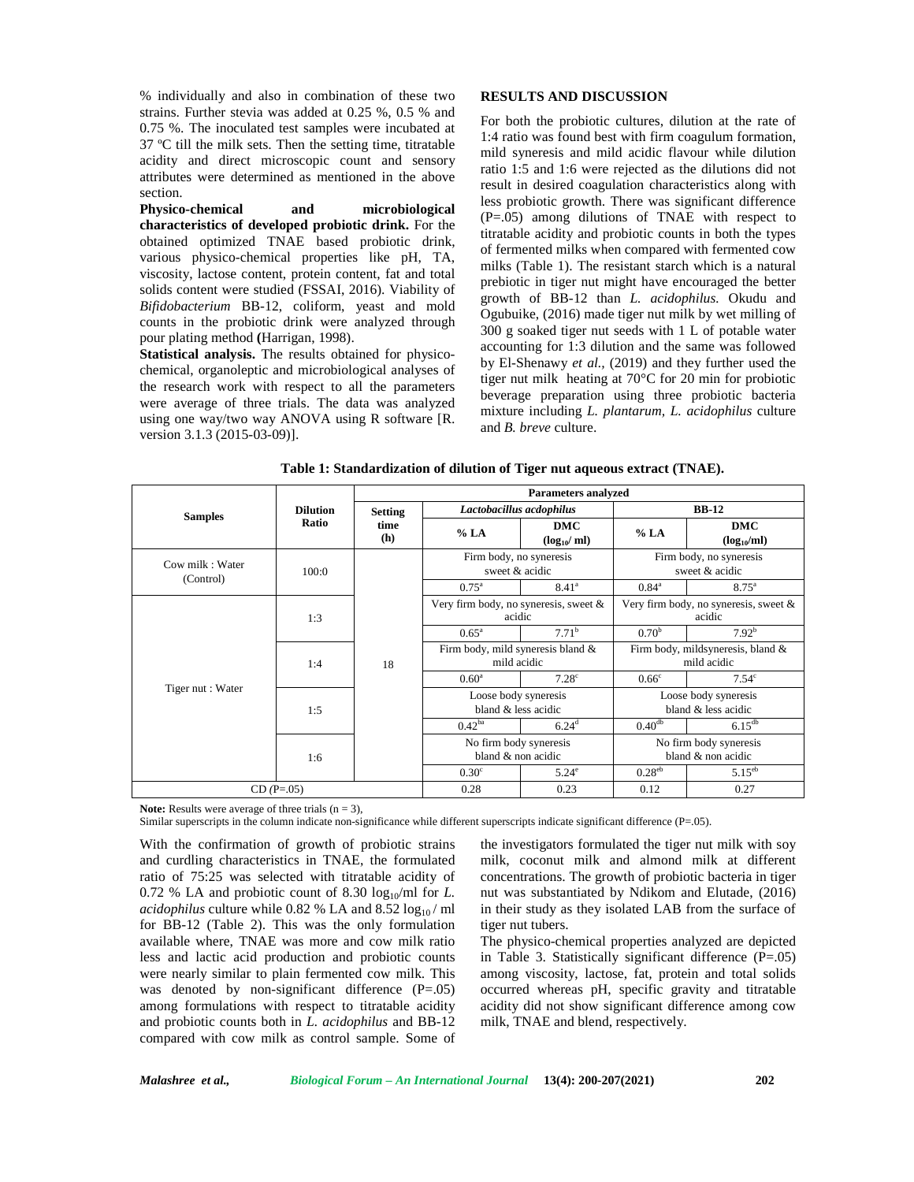% individually and also in combination of these two strains. Further stevia was added at 0.25 %, 0.5 % and 0.75 %. The inoculated test samples were incubated at 37 ºC till the milk sets. Then the setting time, titratable acidity and direct microscopic count and sensory attributes were determined as mentioned in the above section.

**Physico-chemical and microbiological characteristics of developed probiotic drink.** For the obtained optimized TNAE based probiotic drink, various physico-chemical properties like pH, TA, viscosity, lactose content, protein content, fat and total solids content were studied (FSSAI, 2016). Viability of *Bifidobacterium* BB-12, coliform, yeast and mold counts in the probiotic drink were analyzed through pour plating method **(**Harrigan, 1998).

**Statistical analysis.** The results obtained for physico chemical, organoleptic and microbiological analyses of the research work with respect to all the parameters were average of three trials. The data was analyzed using one way/two way ANOVA using R software [R. version 3.1.3 (2015-03-09)].

## **RESULTS AND DISCUSSION**

For both the probiotic cultures, dilution at the rate of 1:4 ratio was found best with firm coagulum formation, mild syneresis and mild acidic flavour while dilution ratio 1:5 and 1:6 were rejected as the dilutions did not result in desired coagulation characteristics along with less probiotic growth. There was significant difference (P=.05) among dilutions of TNAE with respect to titratable acidity and probiotic counts in both the types of fermented milks when compared with fermented cow milks (Table 1). The resistant starch which is a natural prebiotic in tiger nut might have encouraged the better growth of BB-12 than *L. acidophilus.* Okudu and Ogubuike, (2016) made tiger nut milk by wet milling of 300 g soaked tiger nut seeds with 1 L of potable water accounting for 1:3 dilution and the same was followed by El-Shenawy *et al.,* (2019) and they further used the tiger nut milk heating at 70°C for 20 min for probiotic beverage preparation using three probiotic bacteria mixture including *L. plantarum, L. acidophilus* culture and *B. breve* culture.

|                   |                 | <b>Parameters analyzed</b> |                                                    |                               |                                                    |                                           |  |  |
|-------------------|-----------------|----------------------------|----------------------------------------------------|-------------------------------|----------------------------------------------------|-------------------------------------------|--|--|
| <b>Samples</b>    | <b>Dilution</b> | <b>Setting</b>             | Lactobacillus acdophilus                           |                               |                                                    | <b>BB-12</b>                              |  |  |
|                   | Ratio           | time<br>(h)                | % LA                                               | <b>DMC</b><br>$(log_{10}/ml)$ | % LA                                               | <b>DMC</b><br>$(log_{10}/ml)$             |  |  |
| Cow milk: Water   | 100:0           |                            | Firm body, no syneresis<br>sweet & acidic          |                               |                                                    | Firm body, no syneresis<br>sweet & acidic |  |  |
| (Control)         |                 |                            | $0.75^{\rm a}$                                     | $8.41^{\circ}$                | $0.84^{\circ}$                                     | $8.75^{\circ}$                            |  |  |
|                   | 1:3             |                            | Very firm body, no syneresis, sweet $\&$<br>acidic |                               | Very firm body, no syneresis, sweet $\&$<br>acidic |                                           |  |  |
|                   |                 | 18                         | $0.65^{\rm a}$                                     | 7.71 <sup>b</sup>             | 0.70 <sup>b</sup>                                  | 7.92 <sup>b</sup>                         |  |  |
|                   | 1:4             |                            | Firm body, mild syneresis bland &<br>mild acidic   |                               | Firm body, mildsyneresis, bland &<br>mild acidic   |                                           |  |  |
|                   |                 |                            | $0.60^{\circ}$                                     | 7.28 <sup>c</sup>             | 0.66 <sup>c</sup>                                  | 7.54 <sup>c</sup>                         |  |  |
| Tiger nut : Water | 1:5             |                            | Loose body syneresis<br>bland & less acidic        |                               | Loose body syneresis<br>bland & less acidic        |                                           |  |  |
|                   |                 |                            | $0.42^{ba}$                                        | $6.24^{d}$                    | $0.40^{db}$                                        | $6.15^{db}$                               |  |  |
|                   |                 |                            | No firm body syneresis                             |                               | No firm body syneresis                             |                                           |  |  |
|                   | 1:6             |                            | bland & non acidic                                 |                               | bland & non acidic                                 |                                           |  |  |
|                   |                 |                            | 0.30 <sup>c</sup>                                  | $5.24^{\circ}$                | $0.28^{\text{eb}}$                                 | $5.15^{eb}$                               |  |  |
|                   | $CD(P=.05)$     |                            | 0.28                                               | 0.23                          | 0.12                                               | 0.27                                      |  |  |

**Table 1: Standardization of dilution of Tiger nut aqueous extract (TNAE).**

**Note:** Results were average of three trials  $(n = 3)$ ,

Similar superscripts in the column indicate non-significance while different superscripts indicate significant difference (P=.05).

With the confirmation of growth of probiotic strains and curdling characteristics in TNAE, the formulated ratio of 75:25 was selected with titratable acidity of  $0.72$  % LA and probiotic count of 8.30 log<sub>10</sub>/ml for *L*. *acidophilus* culture while 0.82 % LA and  $8.52 \log_{10}$ / ml for BB-12 (Table 2). This was the only formulation available where, TNAE was more and cow milk ratio less and lactic acid production and probiotic counts were nearly similar to plain fermented cow milk. This was denoted by non-significant difference  $(P=.05)$ among formulations with respect to titratable acidity and probiotic counts both in *L. acidophilus* and BB-12 compared with cow milk as control sample. Some of

the investigators formulated the tiger nut milk with soy milk, coconut milk and almond milk at different concentrations. The growth of probiotic bacteria in tiger nut was substantiated by Ndikom and Elutade, (2016) in their study as they isolated LAB from the surface of tiger nut tubers.

The physico-chemical properties analyzed are depicted in Table 3. Statistically significant difference  $(P=.05)$ among viscosity, lactose, fat, protein and total solids occurred whereas pH, specific gravity and titratable acidity did not show significant difference among cow milk, TNAE and blend, respectively.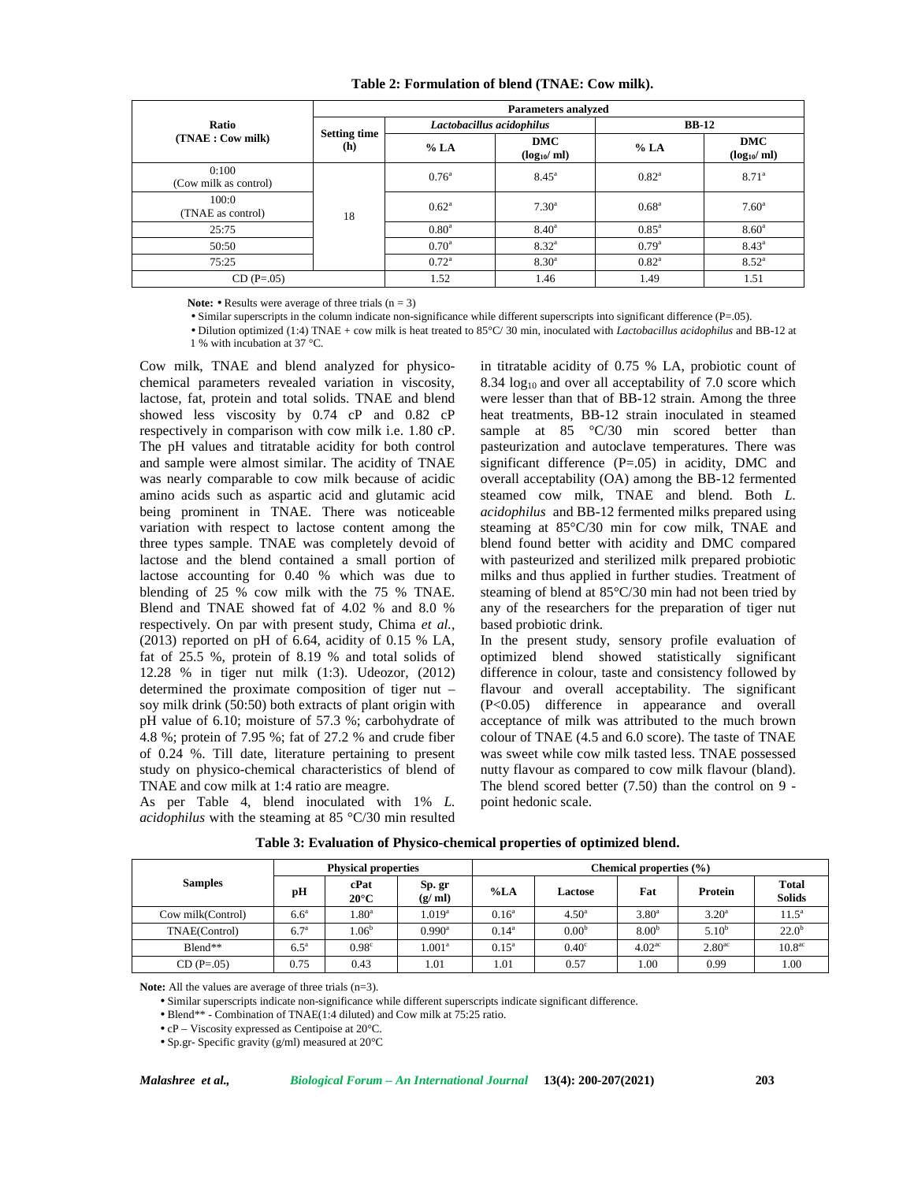|                                |                                   | <b>Parameters analyzed</b> |                        |                |                               |  |  |  |  |  |
|--------------------------------|-----------------------------------|----------------------------|------------------------|----------------|-------------------------------|--|--|--|--|--|
| Ratio                          |                                   | Lactobacillus acidophilus  |                        | <b>BB-12</b>   |                               |  |  |  |  |  |
| (TNAE : Cow milk)              | <b>Setting time</b><br><b>(h)</b> | % LA                       | DMC<br>$(log_{10}/ml)$ | % LA           | <b>DMC</b><br>$(log_{10}/ml)$ |  |  |  |  |  |
| 0:100<br>(Cow milk as control) |                                   | $0.76^{\circ}$             | $8.45^{\circ}$         | $0.82^{\circ}$ | $8.71^{\circ}$                |  |  |  |  |  |
| 100:0<br>(TNAE as control)     | 18                                | $0.62^{\circ}$             | $7.30^{\circ}$         | $0.68^{\circ}$ | $7.60^{\circ}$                |  |  |  |  |  |
| 25:75                          |                                   | 0.80 <sup>a</sup>          | $8.40^{\circ}$         | $0.85^{\circ}$ | $8.60^{\circ}$                |  |  |  |  |  |
| 50:50                          |                                   | $0.70^{\circ}$             | $8.32^{\circ}$         | $0.79^{a}$     | $8.43^{\circ}$                |  |  |  |  |  |
| 75:25                          |                                   | $0.72^{\rm a}$             | $8.30^{a}$             | $0.82^{\circ}$ | $8.52^{\circ}$                |  |  |  |  |  |
| $CD(P=.05)$                    |                                   | 1.52                       | 1.46                   | 1.49           | 1.51                          |  |  |  |  |  |

### **Table 2: Formulation of blend (TNAE: Cow milk).**

Note: • Results were average of three trials (n = 3)

• Similar superscripts in the column indicate non-significance while different superscripts into significant difference (P=.05).

• Dilution optimized (1:4) TNAE + cow milk is heat treated to 85°C/ 30 min, inoculated with *Lactobacillus acidophilus* and BB-12 at 1 % with incubation at 37 °C.

Cow milk, TNAE and blend analyzed for physico chemical parameters revealed variation in viscosity, lactose, fat, protein and total solids. TNAE and blend showed less viscosity by 0.74 cP and 0.82 cP respectively in comparison with cow milk i.e. 1.80 cP. The pH values and titratable acidity for both control and sample were almost similar. The acidity of TNAE was nearly comparable to cow milk because of acidic amino acids such as aspartic acid and glutamic acid being prominent in TNAE. There was noticeable variation with respect to lactose content among the three types sample. TNAE was completely devoid of lactose and the blend contained a small portion of lactose accounting for 0.40 % which was due to blending of 25 % cow milk with the 75 % TNAE. Blend and TNAE showed fat of 4.02 % and 8.0 % respectively. On par with present study, Chima *et al.,* (2013) reported on pH of 6.64, acidity of 0.15 % LA, fat of 25.5 %, protein of 8.19 % and total solids of 12.28 % in tiger nut milk (1:3). Udeozor, (2012) determined the proximate composition of tiger nut – soy milk drink (50:50) both extracts of plant origin with pH value of 6.10; moisture of 57.3 %; carbohydrate of 4.8 %; protein of 7.95 %; fat of 27.2 % and crude fiber of 0.24 %. Till date, literature pertaining to present study on physico-chemical characteristics of blend of TNAE and cow milk at 1:4 ratio are meagre.

As per Table 4, blend inoculated with 1% *L. acidophilus* with the steaming at 85 °C/30 min resulted

in titratable acidity of 0.75 % LA, probiotic count of 8.34  $log_{10}$  and over all acceptability of 7.0 score which were lesser than that of BB-12 strain. Among the three heat treatments, BB-12 strain inoculated in steamed sample at 85 °C/30 min scored better than pasteurization and autoclave temperatures. There was significant difference  $(P=.05)$  in acidity, DMC and overall acceptability (OA) among the BB-12 fermented steamed cow milk, TNAE and blend. Both *L. acidophilus* and BB-12 fermented milks prepared using steaming at 85°C/30 min for cow milk, TNAE and blend found better with acidity and DMC compared with pasteurized and sterilized milk prepared probiotic milks and thus applied in further studies. Treatment of steaming of blend at 85°C/30 min had not been tried by any of the researchers for the preparation of tiger nut based probiotic drink.

In the present study, sensory profile evaluation of optimized blend showed statistically significant difference in colour, taste and consistency followed by flavour and overall acceptability. The significant (P<0.05) difference in appearance and overall acceptance of milk was attributed to the much brown colour of TNAE (4.5 and 6.0 score). The taste of TNAE was sweet while cow milk tasted less. TNAE possessed nutty flavour as compared to cow milk flavour (bland). The blend scored better (7.50) than the control on 9 point hedonic scale.

|                   |                  | <b>Physical properties</b> |                   | Chemical properties (%) |                   |                    |                    |                               |  |
|-------------------|------------------|----------------------------|-------------------|-------------------------|-------------------|--------------------|--------------------|-------------------------------|--|
| <b>Samples</b>    | pH               | cPat<br>$20^{\circ}$ C     | Sp. gr<br>(g/ml)  | % LA                    | Lactose           | Fat                | Protein            | <b>Total</b><br><b>Solids</b> |  |
| Cow milk(Control) | 6.6 <sup>a</sup> | 1.80 <sup>a</sup>          | .019 <sup>a</sup> | $0.16^a$                | $4.50^{\circ}$    | $3.80^a$           | 3.20 <sup>a</sup>  | $11.5^a$                      |  |
| TNAE(Control)     | 6.7 <sup>a</sup> | 1.06 <sup>b</sup>          | $0.990^{\rm a}$   | $0.14^a$                | 0.00 <sup>b</sup> | 8.00 <sup>b</sup>  | $5.10^{b}$         | $22.0^{\rm b}$                |  |
| $B$ lend**        | $6.5^{\circ}$    | 0.98 <sup>c</sup>          | .001 <sup>a</sup> | $0.15^{\rm a}$          | $0.40^\circ$      | 4.02 <sup>ac</sup> | 2.80 <sup>ac</sup> | 10.8 <sup>ac</sup>            |  |
| $CD (P = .05)$    | 0.75             | 0.43                       | 1.01              | 1.01                    | 0.57              | 1.00               | 0.99               | 1.00                          |  |

### **Table 3: Evaluation of Physico-chemical properties of optimized blend.**

**Note:** All the values are average of three trials (n=3).

• Similar superscripts indicate non-significance while different superscripts indicate significant difference.

• Blend\*\* - Combination of TNAE(1:4 diluted) and Cow milk at 75:25 ratio.

• cP – Viscosity expressed as Centipoise at 20°C.

• Sp.gr- Specific gravity (g/ml) measured at 20°C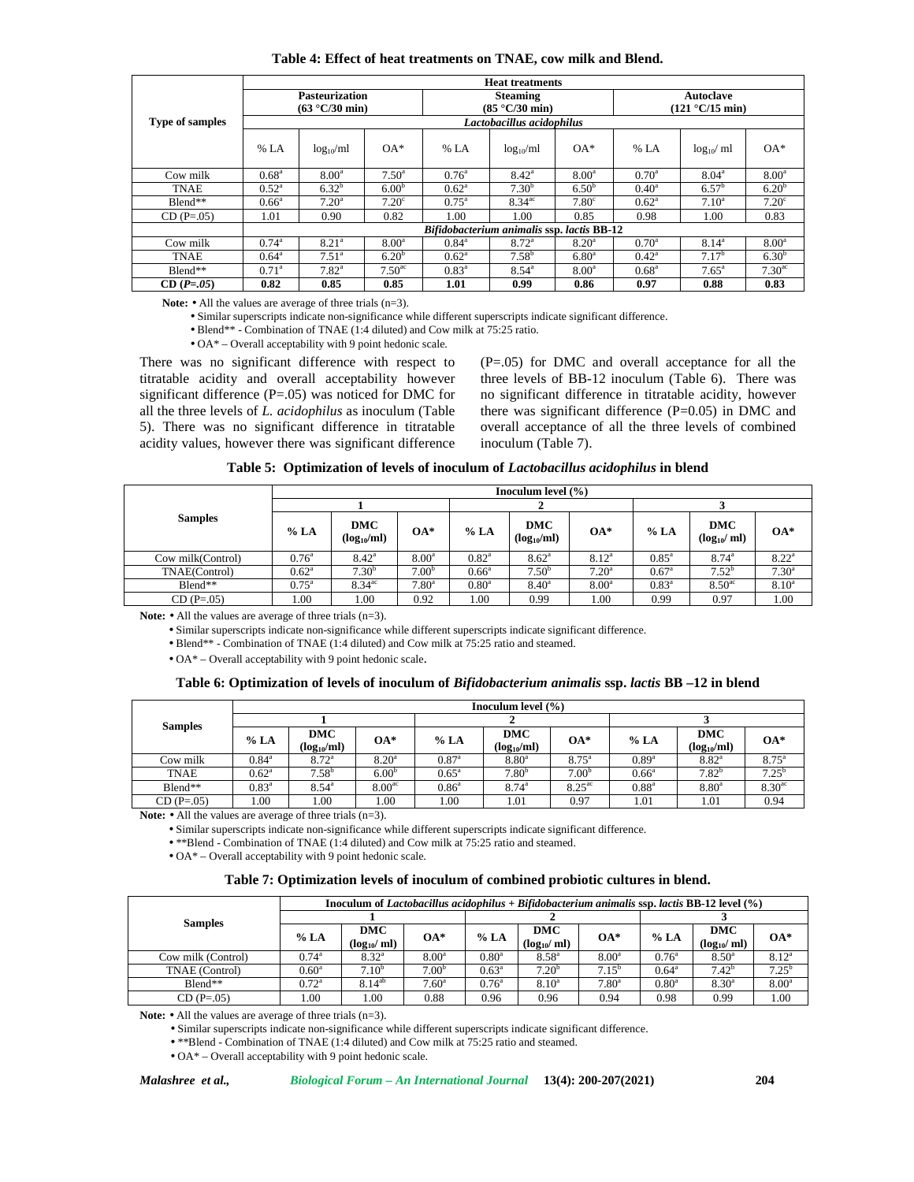|                        | <b>Heat treatments</b> |                       |                    |                                            |                           |                   |                  |                   |                    |  |  |  |
|------------------------|------------------------|-----------------------|--------------------|--------------------------------------------|---------------------------|-------------------|------------------|-------------------|--------------------|--|--|--|
|                        |                        | <b>Pasteurization</b> |                    |                                            | <b>Steaming</b>           |                   | <b>Autoclave</b> |                   |                    |  |  |  |
|                        |                        | (63 °C/30 min)        |                    |                                            | (85 °C/30 min)            |                   |                  | (121 °C/15 min)   |                    |  |  |  |
| <b>Type of samples</b> |                        |                       |                    |                                            | Lactobacillus acidophilus |                   |                  |                   |                    |  |  |  |
|                        | % LA                   | $log_{10}/ml$         | $OA*$              | % LA                                       | $log_{10}/ml$             | $OA*$             | % LA             | $log_{10}/ml$     | $OA*$              |  |  |  |
| Cow milk               | $0.68^{\rm a}$         | 8.00 <sup>a</sup>     | $7.50^{\circ}$     | $0.76^{\circ}$                             | $8.42^{\rm a}$            | 8.00 <sup>a</sup> | $0.70^{\rm a}$   | $8.04^{\circ}$    | 8.00 <sup>a</sup>  |  |  |  |
| TNAE                   | $0.52^{\rm a}$         | $6.32^{b}$            | 6.00 <sup>b</sup>  | $0.62^{\rm a}$                             | 7.30 <sup>b</sup>         | $6.50^{b}$        | $0.40^{\circ}$   | $6.57^{\rm b}$    | 6.20 <sup>b</sup>  |  |  |  |
| $Blend**$              | $0.66^a$               | $7.20^{\rm a}$        | 7.20 <sup>c</sup>  | $0.75^{\rm a}$                             | $8.34$ <sup>ac</sup>      | 7.80 <sup>c</sup> | $0.62^{\rm a}$   | $7.10^a$          | 7.20 <sup>c</sup>  |  |  |  |
| $CD(P=.05)$            | 1.01                   | 0.90                  | 0.82               | 1.00                                       | 1.00                      | 0.85              | 0.98             | 1.00              | 0.83               |  |  |  |
|                        |                        |                       |                    | Bifidobacterium animalis ssp. lactis BB-12 |                           |                   |                  |                   |                    |  |  |  |
| Cow milk               | $0.74^{\circ}$         | 8.21 <sup>a</sup>     | 8.00 <sup>a</sup>  | $0.84^{\circ}$                             | 8.72 <sup>a</sup>         | 8.20 <sup>a</sup> | $0.70^{\circ}$   | $8.14^{a}$        | $8.00^{\circ}$     |  |  |  |
| <b>TNAE</b>            | $0.64^{\circ}$         | $7.51^a$              | 6.20 <sup>b</sup>  | $0.62^{\rm a}$                             | $7.58^{b}$                | 6.80 <sup>a</sup> | $0.42^{\rm a}$   | 7.17 <sup>b</sup> | $6.30^{b}$         |  |  |  |
| $B$ lend**             | $0.71^{\circ}$         | $7.82^{a}$            | 7.50 <sup>ac</sup> | $0.83^{\rm a}$                             | $8.54^{\circ}$            | 8.00 <sup>a</sup> | $0.68^{\rm a}$   | $7.65^{\circ}$    | 7.30 <sup>ac</sup> |  |  |  |
| $CD(P=.05)$            | 0.82                   | 0.85                  | 0.85               | 1.01                                       | 0.99                      | 0.86              | 0.97             | 0.88              | 0.83               |  |  |  |

Note: • All the values are average of three trials (n=3).

• Similar superscripts indicate non-significance while different superscripts indicate significant difference.

• Blend\*\* - Combination of TNAE (1:4 diluted) and Cow milk at 75:25 ratio.

• OA\* – Overall acceptability with 9 point hedonic scale.

There was no significant difference with respect to titratable acidity and overall acceptability however significant difference (P=.05) was noticed for DMC for all the three levels of *L. acidophilus* as inoculum (Table 5). There was no significant difference in titratable acidity values, however there was significant difference

(P=.05) for DMC and overall acceptance for all the three levels of BB-12 inoculum (Table 6). There was no significant difference in titratable acidity, however there was significant difference (P=0.05) in DMC and overall acceptance of all the three levels of combined inoculum (Table 7).

|                   | Inoculum level $(\% )$ |                               |                   |                   |                               |                   |                |                               |                   |
|-------------------|------------------------|-------------------------------|-------------------|-------------------|-------------------------------|-------------------|----------------|-------------------------------|-------------------|
|                   |                        |                               |                   |                   |                               |                   |                |                               |                   |
| <b>Samples</b>    | % LA                   | <b>DMC</b><br>$(log_{10}/ml)$ | $OA*$             | % LA              | <b>DMC</b><br>$(log_{10}/ml)$ | $OA*$             | % LA           | <b>DMC</b><br>$(log_{10}/ml)$ | $OA*$             |
| Cow milk(Control) | $0.76^{\circ}$         | $8.42^{\circ}$                | 8.00 <sup>a</sup> | $0.82^{\rm a}$    | $8.62^{\circ}$                | $8.12^{a}$        | $0.85^{\circ}$ | $8.74^{a}$                    | $8.22^{\circ}$    |
| TNAE(Control)     | $0.62^{\rm a}$         | 7.30 <sup>b</sup>             | 7.00 <sup>b</sup> | $0.66^{\circ}$    | 7.50 <sup>b</sup>             | 7.20 <sup>a</sup> | $0.67^{\circ}$ | $7.52^b$                      | 7.30 <sup>a</sup> |
| Blend**           | $0.75^{\circ}$         | $8.34$ <sup>ac</sup>          | 7.80 <sup>a</sup> | 0.80 <sup>a</sup> | $8.40^{\circ}$                | 8.00 <sup>a</sup> | $0.83^{\rm a}$ | 8.50 <sup>ac</sup>            | $8.10^{\rm a}$    |
| $CD(P=.05)$       | 1.00                   | 1.00                          | 0.92              | 1.00              | 0.99                          | 1.00              | 0.99           | 0.97                          | 1.00              |

Note: • All the values are average of three trials (n=3).

• Similar superscripts indicate non-significance while different superscripts indicate significant difference.

• Blend<sup>\*\*</sup> - Combination of TNAE (1:4 diluted) and Cow milk at 75:25 ratio and steamed.

• OA\* – Overall acceptability with 9 point hedonic scale.

#### **Table 6: Optimization of levels of inoculum of** *Bifidobacterium animalis* **ssp.** *lactis* **BB –12 in blend**

| % LA           | <b>DMC</b><br>$(log_{10}/ml)$ | $OA*$              | % LA           | <b>DMC</b><br>$(log_{10}/ml)$ | $OA*$                | % LA                   | <b>DMC</b><br>$(log_{10}/ml)$ | $OA*$                |  |  |  |
|----------------|-------------------------------|--------------------|----------------|-------------------------------|----------------------|------------------------|-------------------------------|----------------------|--|--|--|
| $0.84^{\circ}$ | $8.72^{\circ}$                | $8.20^{\circ}$     | $0.87^{\rm a}$ | 8.80 <sup>a</sup>             | $8.75^{\circ}$       | $0.89^{a}$             | $8.82^{\circ}$                | $8.75^{\circ}$       |  |  |  |
| $0.62^{\rm a}$ | $7.58^{b}$                    | 6.00 <sup>b</sup>  | $0.65^{\circ}$ | 7.80 <sup>b</sup>             | 7.00 <sup>b</sup>    | $0.66^{\circ}$         | $7.82^{b}$                    | $7.25^{\rm b}$       |  |  |  |
| $0.83^{\circ}$ | $8.54^{\circ}$                | 8.00 <sup>ac</sup> | $0.86^{\circ}$ | $8.74^{\circ}$                | $8.25$ <sup>ac</sup> | $0.88^{a}$             | 8.80 <sup>a</sup>             | $8.30$ <sup>ac</sup> |  |  |  |
| 00.            | 1.00                          | 1.00               | 1.00           | 1.01                          | 0.97                 | 1.01                   | 1.01                          | 0.94                 |  |  |  |
|                |                               |                    |                |                               |                      | Inoculum level $(\% )$ |                               |                      |  |  |  |

Note: • All the values are average of three trials  $(n=3)$ .

• Similar superscripts indicate non-significance while different superscripts indicate significant difference.

• \*\*Blend - Combination of TNAE (1:4 diluted) and Cow milk at 75:25 ratio and steamed.

• OA\* – Overall acceptability with 9 point hedonic scale.

#### **Table 7: Optimization levels of inoculum of combined probiotic cultures in blend.**

|                    | Inoculum of Lactobacillus acidophilus + Bifidobacterium animalis ssp. lactis BB-12 level $(\%)$ |                        |                   |                |                               |                   |                   |                               |                   |  |
|--------------------|-------------------------------------------------------------------------------------------------|------------------------|-------------------|----------------|-------------------------------|-------------------|-------------------|-------------------------------|-------------------|--|
| <b>Samples</b>     |                                                                                                 |                        |                   |                |                               |                   |                   |                               |                   |  |
|                    | % LA                                                                                            | DMC<br>$(log_{10}/ml)$ | $OA*$             | % LA           | <b>DMC</b><br>$(log_{10}/ml)$ | $OA*$             | % LA              | <b>DMC</b><br>$(log_{10}/ml)$ | $OA*$             |  |
| Cow milk (Control) | $0.74^{\circ}$                                                                                  | $8.32^{\rm a}$         | 8.00 <sup>a</sup> | $0.80^{\rm a}$ | $8.58^{a}$                    | 8.00 <sup>a</sup> | $0.76^{\circ}$    | $8.50^{\circ}$                | $8.12^{a}$        |  |
| TNAE (Control)     | $0.60^{\rm a}$                                                                                  | $7.10^{b}$             | 7.00 <sup>b</sup> | $0.63^{\rm a}$ | $7.20^{b}$                    | $7.15^{o}$        | $0.64^{\circ}$    | $7.42^{b}$                    | $7.25^{\circ}$    |  |
| Blend**            | $0.72^{\rm a}$                                                                                  | $8.14^{ab}$            | $7.60^{\circ}$    | $0.76^{\circ}$ | $8.10^{a}$                    | 7.80 <sup>a</sup> | 0.80 <sup>a</sup> | $8.30^{a}$                    | 8.00 <sup>a</sup> |  |
| $CD (P = .05)$     | 1.00                                                                                            | 00.1                   | 0.88              | 0.96           | 0.96                          | 0.94              | 0.98              | 0.99                          | 00.1              |  |

Note: • All the values are average of three trials (n=3).

• Similar superscripts indicate non-significance while different superscripts indicate significant difference.

• \*\*Blend - Combination of TNAE (1:4 diluted) and Cow milk at 75:25 ratio and steamed.

• OA\* – Overall acceptability with 9 point hedonic scale.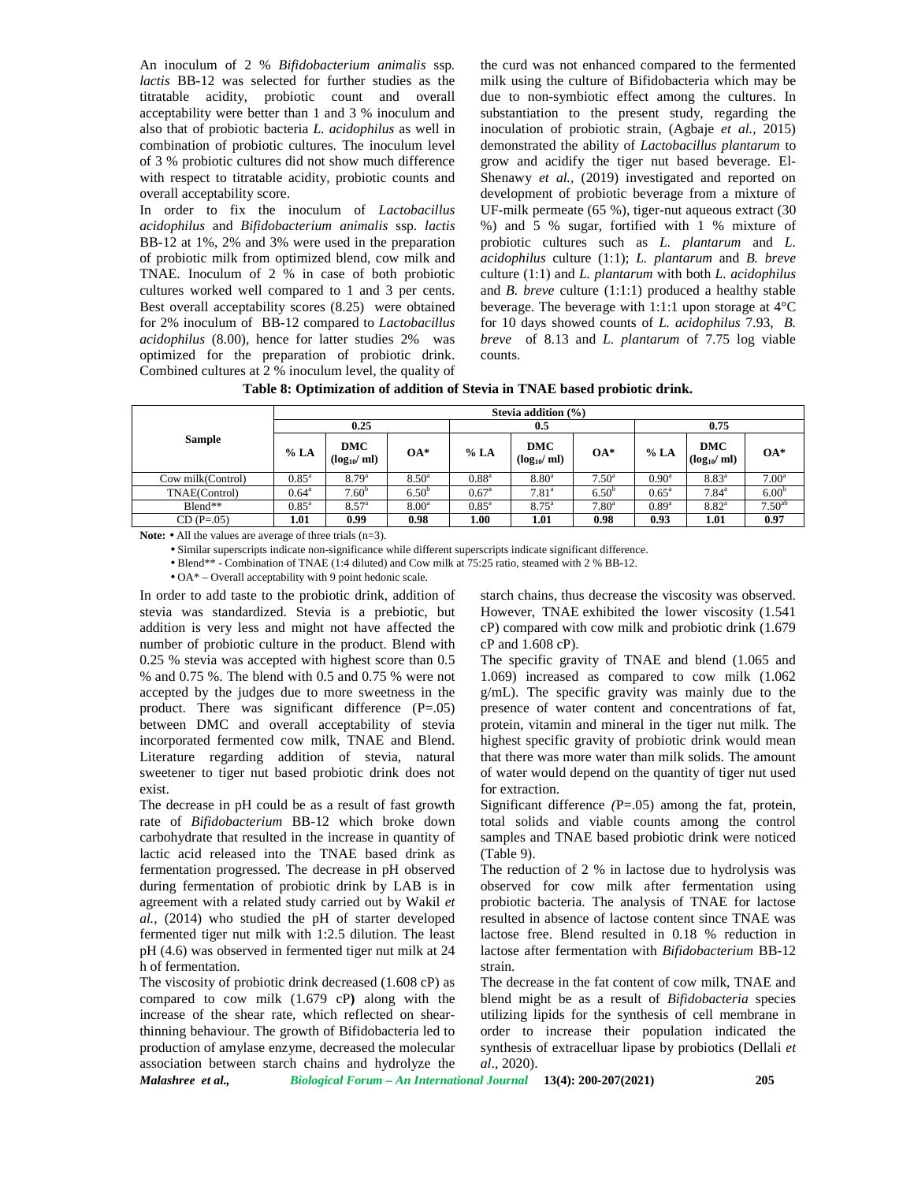An inoculum of 2 % *Bifidobacterium animalis* ssp*. lactis* BB-12 was selected for further studies as the titratable acidity, probiotic count and overall acceptability were better than 1 and 3 % inoculum and also that of probiotic bacteria *L. acidophilus* as well in combination of probiotic cultures. The inoculum level of 3 % probiotic cultures did not show much difference with respect to titratable acidity, probiotic counts and overall acceptability score.

In order to fix the inoculum of *Lactobacillus acidophilus* and *Bifidobacterium animalis* ssp. *lactis* BB-12 at 1%, 2% and 3% were used in the preparation of probiotic milk from optimized blend, cow milk and TNAE. Inoculum of 2 % in case of both probiotic cultures worked well compared to 1 and 3 per cents. Best overall acceptability scores (8.25) were obtained for 2% inoculum of BB-12 compared to *Lactobacillus acidophilus* (8.00), hence for latter studies 2% was optimized for the preparation of probiotic drink. Combined cultures at 2 % inoculum level, the quality of

the curd was not enhanced compared to the fermented milk using the culture of Bifidobacteria which may be due to non-symbiotic effect among the cultures. In substantiation to the present study, regarding the inoculation of probiotic strain, (Agbaje *et al.,* 2015) demonstrated the ability of *Lactobacillus plantarum* to grow and acidify the tiger nut based beverage. El- Shenawy *et al.,* (2019) investigated and reported on development of probiotic beverage from a mixture of UF-milk permeate (65 %), tiger-nut aqueous extract (30 %) and 5 % sugar, fortified with 1 % mixture of probiotic cultures such as *L. plantarum* and *L. acidophilus* culture (1:1); *L. plantarum* and *B. breve* culture (1:1) and *L. plantarum* with both *L. acidophilus* and *B. breve* culture (1:1:1) produced a healthy stable beverage. The beverage with 1:1:1 upon storage at 4°C for 10 days showed counts of *L. acidophilus* 7.93, *B. breve* of 8.13 and *L. plantarum* of 7.75 log viable counts.

| Table 8: Optimization of addition of Stevia in TNAE based probiotic drink. |  |
|----------------------------------------------------------------------------|--|
|----------------------------------------------------------------------------|--|

|                   |                |                        |                   |                | Stevia addition $(\% )$ |                   |                |                               |                   |  |  |  |  |  |  |  |
|-------------------|----------------|------------------------|-------------------|----------------|-------------------------|-------------------|----------------|-------------------------------|-------------------|--|--|--|--|--|--|--|
|                   |                | 0.25                   |                   |                | 0.5                     |                   |                | 0.75                          |                   |  |  |  |  |  |  |  |
| <b>Sample</b>     | % LA           | DMC<br>$(log_{10}/ml)$ | $OA*$             | % LA           | DMC<br>$(log_{10}/ml)$  | $OA*$             | % LA           | <b>DMC</b><br>$(log_{10}/ml)$ | $OA*$             |  |  |  |  |  |  |  |
| Cow milk(Control) | $0.85^{\rm a}$ | $8.79^{a}$             | $8.50^{\circ}$    | $0.88^{a}$     | 8.80 <sup>a</sup>       | $7.50^{\circ}$    | $0.90^{\circ}$ | $8.83^{a}$                    | $7.00^{\rm a}$    |  |  |  |  |  |  |  |
| TNAE(Control)     | $0.64^{\circ}$ | $7.60^{b}$             | $6.50^{\circ}$    | $0.67^{\circ}$ | $7.81^{\circ}$          | $6.50^{\circ}$    | $0.65^{\circ}$ | $7.84^{\circ}$                | 6.00 <sup>b</sup> |  |  |  |  |  |  |  |
| $B$ lend**        | $0.85^{\rm a}$ | 8.57 <sup>a</sup>      | 8.00 <sup>a</sup> | $0.85^{\rm a}$ | $8.75^{\circ}$          | 7.80 <sup>a</sup> | $0.89^{a}$     | $8.82^{a}$                    | $7.50^{ab}$       |  |  |  |  |  |  |  |
| $CD(P=.05)$       | 1.01           | 0.99                   | 0.98              | 1.00           | 1.01                    | 0.98              | 0.93           | 1.01                          | 0.97              |  |  |  |  |  |  |  |

Note:  $\bullet$  All the values are average of three trials (n=3).

• Similar superscripts indicate non-significance while different superscripts indicate significant difference.

• Blend\*\* - Combination of TNAE (1:4 diluted) and Cow milk at 75:25 ratio, steamed with 2 % BB-12.

• OA\* – Overall acceptability with 9 point hedonic scale.

In order to add taste to the probiotic drink, addition of stevia was standardized. Stevia is a prebiotic, but addition is very less and might not have affected the number of probiotic culture in the product. Blend with 0.25 % stevia was accepted with highest score than 0.5 % and 0.75 %. The blend with 0.5 and 0.75 % were not accepted by the judges due to more sweetness in the product. There was significant difference  $(P=.05)$ between DMC and overall acceptability of stevia incorporated fermented cow milk, TNAE and Blend. Literature regarding addition of stevia, natural sweetener to tiger nut based probiotic drink does not exist.

The decrease in pH could be as a result of fast growth rate of *Bifidobacterium* BB-12 which broke down carbohydrate that resulted in the increase in quantity of lactic acid released into the TNAE based drink as fermentation progressed. The decrease in pH observed during fermentation of probiotic drink by LAB is in agreement with a related study carried out by Wakil *et al.,* (2014) who studied the pH of starter developed fermented tiger nut milk with 1:2.5 dilution. The least pH (4.6) was observed in fermented tiger nut milk at 24 h of fermentation.

The viscosity of probiotic drink decreased (1.608 cP) as compared to cow milk (1.679 cP**)** along with the increase of the shear rate, which reflected on shearthinning behaviour. The growth of Bifidobacteria led to production of amylase enzyme, decreased the molecular association between starch chains and hydrolyze the starch chains, thus decrease the viscosity was observed. However, TNAE exhibited the lower viscosity (1.541 cP) compared with cow milk and probiotic drink (1.679 cP and 1.608 cP).

The specific gravity of TNAE and blend (1.065 and 1.069) increased as compared to cow milk (1.062 g/mL). The specific gravity was mainly due to the presence of water content and concentrations of fat, protein, vitamin and mineral in the tiger nut milk. The highest specific gravity of probiotic drink would mean that there was more water than milk solids. The amount of water would depend on the quantity of tiger nut used for extraction.

Significant difference *(*P=.05) among the fat, protein, total solids and viable counts among the control samples and TNAE based probiotic drink were noticed (Table 9).

The reduction of 2 % in lactose due to hydrolysis was observed for cow milk after fermentation using probiotic bacteria. The analysis of TNAE for lactose resulted in absence of lactose content since TNAE was lactose free. Blend resulted in 0.18 % reduction in lactose after fermentation with *Bifidobacterium* BB-12 strain.

The decrease in the fat content of cow milk, TNAE and blend might be as a result of *Bifidobacteria* species utilizing lipids for the synthesis of cell membrane in order to increase their population indicated the synthesis of extracelluar lipase by probiotics (Dellali *et al*., 2020).

*Malashree et al., Biological Forum – An International Journal* **13(4): 200-207(2021) 205**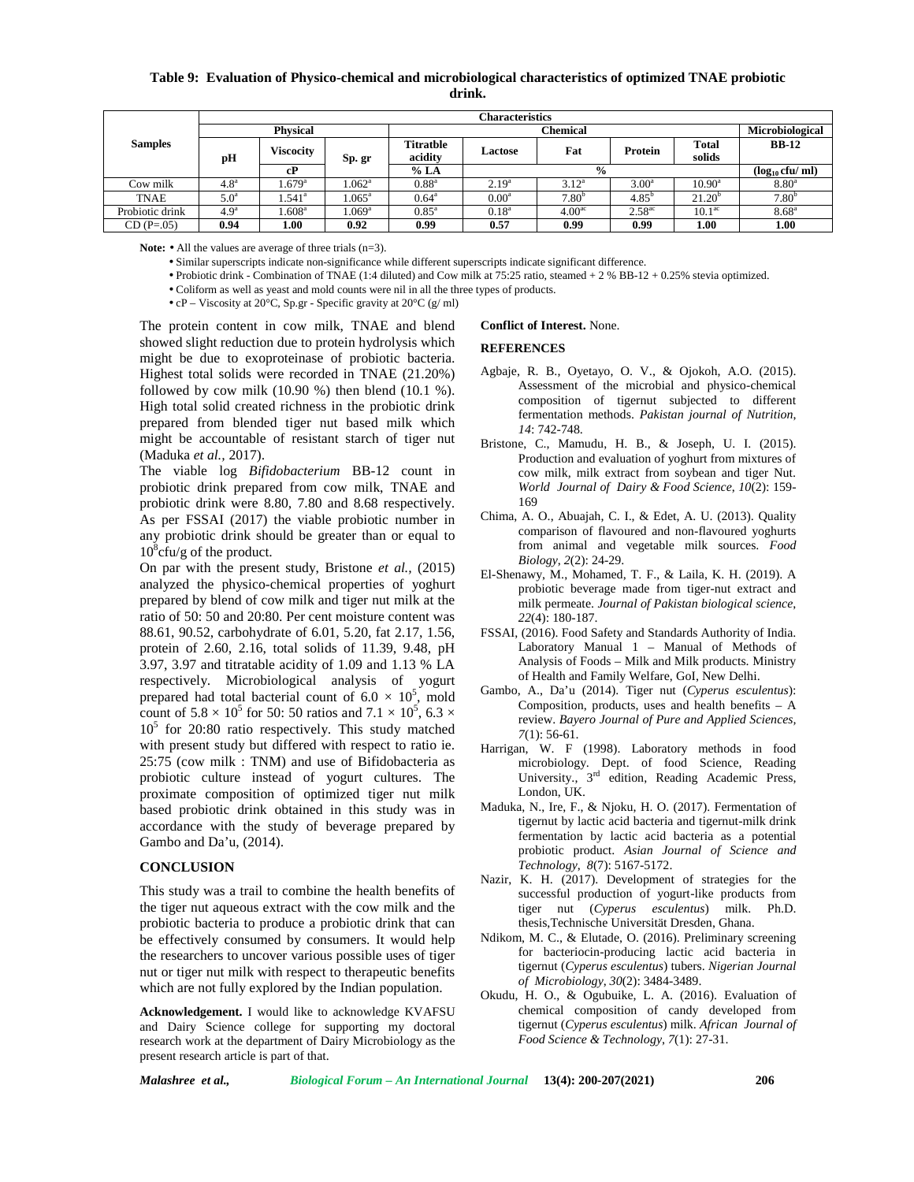**Table 9: Evaluation of Physico-chemical and microbiological characteristics of optimized TNAE probiotic drink.**

|                 |                                                        | <b>Characteristics</b><br>Microbiological |                   |                  |                   |                    |                    |                     |                   |  |  |  |  |
|-----------------|--------------------------------------------------------|-------------------------------------------|-------------------|------------------|-------------------|--------------------|--------------------|---------------------|-------------------|--|--|--|--|
|                 |                                                        | <b>Physical</b>                           |                   |                  | Chemical          |                    |                    |                     |                   |  |  |  |  |
| <b>Samples</b>  |                                                        |                                           |                   | <b>Titratble</b> |                   | Fat                | Protein            | <b>Total</b>        | <b>BB-12</b>      |  |  |  |  |
|                 | <b>Viscocity</b><br>Lactose<br>acidity<br>pH<br>Sp. gr |                                           |                   | solids           |                   |                    |                    |                     |                   |  |  |  |  |
|                 |                                                        | cP                                        |                   | % LA             |                   | $\frac{0}{0}$      |                    | $(log_{10} cfu/ml)$ |                   |  |  |  |  |
| Cow milk        | 4.8 <sup>a</sup>                                       | .679 <sup>a</sup>                         | .062 <sup>a</sup> | $0.88^{a}$       | 2.19 <sup>a</sup> | $3.12^a$           | $3.00^{\circ}$     | $10.90^{\circ}$     | $8.80^{\circ}$    |  |  |  |  |
| <b>TNAE</b>     | 5.0 <sup>a</sup>                                       | $.541^{\circ}$                            | $1.065^{\rm a}$   | $0.64^{\circ}$   | $0.00^{\rm a}$    | 7.80 <sup>b</sup>  | $4.85^{b}$         | $21.20^{b}$         | 7.80 <sup>b</sup> |  |  |  |  |
| Probiotic drink | 4.9 <sup>a</sup>                                       | .608 <sup>a</sup>                         | .069 <sup>a</sup> | $0.85^{\rm a}$   | $0.18^{a}$        | 4.00 <sup>ac</sup> | $2.58^{\text{ac}}$ | 10.1 <sup>ac</sup>  | $8.68^{\circ}$    |  |  |  |  |
| $CD(P=0.05)$    | 0.94                                                   | 00.1                                      | 0.92              | 0.99             | 0.57              | 0.99               | 0.99               | 1.00                | 1.00              |  |  |  |  |

Note: • All the values are average of three trials (n=3).

• Similar superscripts indicate non-significance while different superscripts indicate significant difference.

• Probiotic drink - Combination of TNAE (1:4 diluted) and Cow milk at 75:25 ratio, steamed + 2 % BB-12 + 0.25% stevia optimized.

• Coliform as well as yeast and mold counts were nil in all the three types of products.

• cP – Viscosity at 20°C, Sp.gr - Specific gravity at 20°C (g/ ml)

The protein content in cow milk, TNAE and blend showed slight reduction due to protein hydrolysis which might be due to exoproteinase of probiotic bacteria. Highest total solids were recorded in TNAE (21.20%) followed by cow milk  $(10.90\%)$  then blend  $(10.1\%)$ . High total solid created richness in the probiotic drink prepared from blended tiger nut based milk which might be accountable of resistant starch of tiger nut (Maduka *et al.,* 2017).

The viable log *Bifidobacterium* BB-12 count in probiotic drink prepared from cow milk, TNAE and probiotic drink were 8.80, 7.80 and 8.68 respectively. As per FSSAI (2017) the viable probiotic number in any probiotic drink should be greater than or equal to  $10^8$ cfu/g of the product.

On par with the present study, Bristone *et al.,* (2015) analyzed the physico-chemical properties of yoghurt prepared by blend of cow milk and tiger nut milk at the ratio of 50: 50 and 20:80. Per cent moisture content was 88.61, 90.52, carbohydrate of 6.01, 5.20, fat 2.17, 1.56, protein of 2.60, 2.16, total solids of 11.39, 9.48, pH 3.97, 3.97 and titratable acidity of 1.09 and 1.13 % LA respectively. Microbiological analysis of yogurt prepared had total bacterial count of  $6.0 \times 10^5$ , mold count of  $5.8 \times 10^5$  for 50: 50 ratios and  $7.1 \times 10^5$ , 6.3  $\times$  $10<sup>5</sup>$  for 20:80 ratio respectively. This study matched with present study but differed with respect to ratio ie. 25:75 (cow milk : TNM) and use of Bifidobacteria as probiotic culture instead of yogurt cultures. The proximate composition of optimized tiger nut milk based probiotic drink obtained in this study was in accordance with the study of beverage prepared by Gambo and Da'u, (2014).

#### **CONCLUSION**

This study was a trail to combine the health benefits of the tiger nut aqueous extract with the cow milk and the probiotic bacteria to produce a probiotic drink that can be effectively consumed by consumers. It would help the researchers to uncover various possible uses of tiger nut or tiger nut milk with respect to therapeutic benefits which are not fully explored by the Indian population.

**Acknowledgement.** I would like to acknowledge KVAFSU and Dairy Science college for supporting my doctoral research work at the department of Dairy Microbiology as the present research article is part of that.

#### **Conflict of Interest.** None.

#### **REFERENCES**

- Agbaje, R. B., Oyetayo, O. V., & Ojokoh, A.O. (2015). Assessment of the microbial and physico-chemical composition of tigernut subjected to different fermentation methods. *Pakistan journal of Nutrition*, *14*: 742-748.
- Bristone, C., Mamudu, H. B., & Joseph, U. I. (2015). Production and evaluation of yoghurt from mixtures of cow milk, milk extract from soybean and tiger Nut. *World Journal of Dairy & Food Science*, *10*(2): 159- 169
- Chima, A. O., Abuajah, C. I., & Edet, A. U. (2013). Quality comparison of flavoured and non-flavoured yoghurts from animal and vegetable milk sources. *Food Biology*, *2*(2): 24-29.
- El-Shenawy, M., Mohamed, T. F., & Laila, K. H. (2019). A probiotic beverage made from tiger-nut extract and milk permeate. *Journal of Pakistan biological science*, *22*(4): 180-187.
- FSSAI, (2016). Food Safety and Standards Authority of India. Laboratory Manual 1 – Manual of Methods of Analysis of Foods – Milk and Milk products. Ministry of Health and Family Welfare, GoI, New Delhi.
- Gambo, A., Da'u (2014). Tiger nut (*Cyperus esculentus*): Composition, products, uses and health benefits – A review. *Bayero Journal of Pure and Applied Sciences, 7*(1): 56-61.
- Harrigan, W. F (1998). Laboratory methods in food microbiology. Dept. of food Science, Reading University., 3<sup>rd</sup> edition, Reading Academic Press, London, UK.
- Maduka, N., Ire, F., & Njoku, H. O. (2017). Fermentation of tigernut by lactic acid bacteria and tigernut-milk drink fermentation by lactic acid bacteria as a potential probiotic product. *Asian Journal of Science and Technology*, *8*(7): 5167-5172.
- Nazir, K. H. (2017). Development of strategies for the successful production of yogurt-like products from tiger nut (*Cyperus esculentus*) milk. Ph.D. thesis,Technische Universität Dresden, Ghana.
- Ndikom, M. C., & Elutade, O. (2016). Preliminary screening for bacteriocin-producing lactic acid bacteria in tigernut (*Cyperus esculentus*) tubers. *Nigerian Journal of Microbiology*, *30*(2): 3484-3489.
- Okudu, H. O., & Ogubuike, L. A. (2016). Evaluation of chemical composition of candy developed from tigernut (*Cyperus esculentus*) milk. *African Journal of Food Science & Technology*, *7*(1): 27-31.